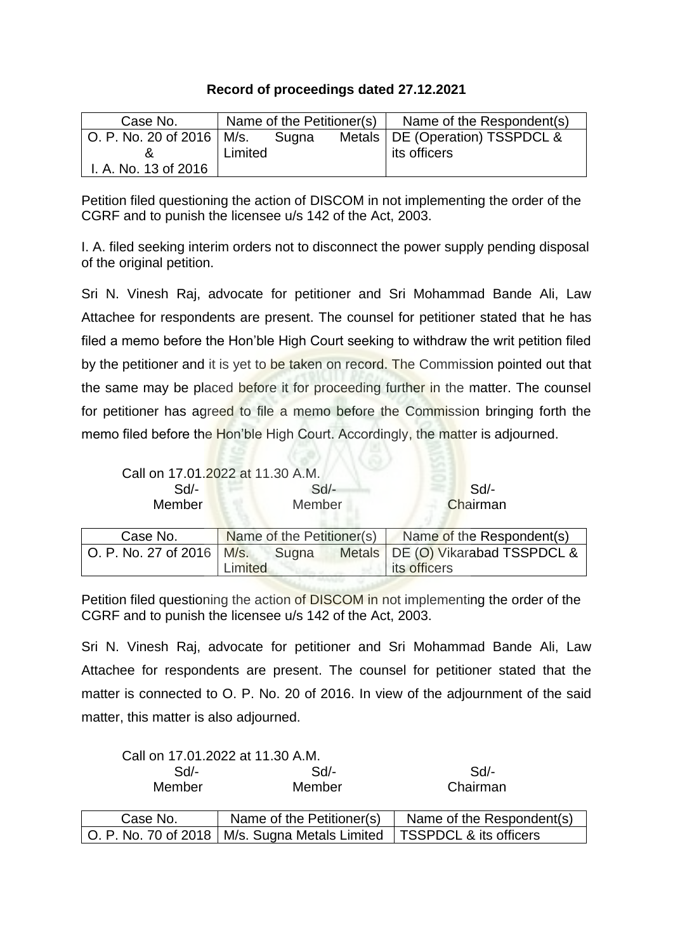## **Record of proceedings dated 27.12.2021**

| Case No.                    | Name of the Petitioner(s) |       | Name of the Respondent(s)         |
|-----------------------------|---------------------------|-------|-----------------------------------|
| O. P. No. 20 of 2016   M/s. |                           | Sugna | Metals   DE (Operation) TSSPDCL & |
|                             | Limited                   |       | its officers                      |
| I. A. No. 13 of 2016        |                           |       |                                   |

Petition filed questioning the action of DISCOM in not implementing the order of the CGRF and to punish the licensee u/s 142 of the Act, 2003.

I. A. filed seeking interim orders not to disconnect the power supply pending disposal of the original petition.

Sri N. Vinesh Raj, advocate for petitioner and Sri Mohammad Bande Ali, Law Attachee for respondents are present. The counsel for petitioner stated that he has filed a memo before the Hon'ble High Court seeking to withdraw the writ petition filed by the petitioner and it is yet to be taken on record. The Commission pointed out that the same may be placed before it for proceeding further in the matter. The counsel for petitioner has agreed to file a memo before the Commission bringing forth the memo filed before the Hon'ble High Court. Accordingly, the matter is adjourned.

|                             | Call on 17.01.2022 at 11.30 A.M.          |                                     |
|-----------------------------|-------------------------------------------|-------------------------------------|
| $Sd$ -                      | $Sd$ -                                    | Sd                                  |
| Member                      | Member                                    | Chairman                            |
| Case No.                    | Name of the Petitioner(s)                 | Name of the Respondent(s)           |
| O. P. No. 27 of 2016   M/s. | Sugna                                     | Metals   DE (O) Vikarabad TSSPDCL & |
|                             | imited<br><b>Contact of Contact State</b> | its officers                        |

Petition filed questioning the action of DISCOM in not implementing the order of the CGRF and to punish the licensee u/s 142 of the Act, 2003.

Sri N. Vinesh Raj, advocate for petitioner and Sri Mohammad Bande Ali, Law Attachee for respondents are present. The counsel for petitioner stated that the matter is connected to O. P. No. 20 of 2016. In view of the adjournment of the said matter, this matter is also adjourned.

|          | Call on 17.01.2022 at 11.30 A.M.                 |                           |
|----------|--------------------------------------------------|---------------------------|
| $Sd$ -   | $Sd$ -                                           | Sd/-                      |
| Member   | Member                                           | Chairman                  |
| Case No. | Name of the Petitioner(s)                        | Name of the Respondent(s) |
|          | O. P. No. 70 of 2018   M/s. Sugna Metals Limited | TSSPDCL & its officers    |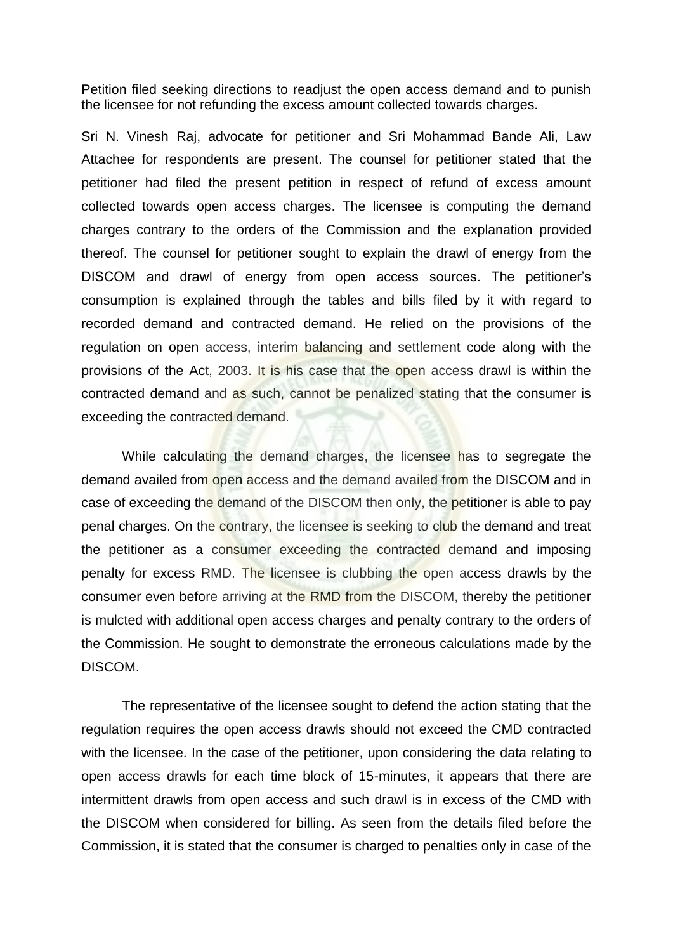Petition filed seeking directions to readjust the open access demand and to punish the licensee for not refunding the excess amount collected towards charges.

Sri N. Vinesh Raj, advocate for petitioner and Sri Mohammad Bande Ali, Law Attachee for respondents are present. The counsel for petitioner stated that the petitioner had filed the present petition in respect of refund of excess amount collected towards open access charges. The licensee is computing the demand charges contrary to the orders of the Commission and the explanation provided thereof. The counsel for petitioner sought to explain the drawl of energy from the DISCOM and drawl of energy from open access sources. The petitioner's consumption is explained through the tables and bills filed by it with regard to recorded demand and contracted demand. He relied on the provisions of the regulation on open access, interim balancing and settlement code along with the provisions of the Act, 2003. It is his case that the open access drawl is within the contracted demand and as such, cannot be penalized stating that the consumer is exceeding the contracted demand.

While calculating the demand charges, the licensee has to segregate the demand availed from open access and the demand availed from the DISCOM and in case of exceeding the demand of the DISCOM then only, the petitioner is able to pay penal charges. On the contrary, the licensee is seeking to club the demand and treat the petitioner as a consumer exceeding the contracted demand and imposing penalty for excess RMD. The licensee is clubbing the open access drawls by the consumer even before arriving at the RMD from the DISCOM, thereby the petitioner is mulcted with additional open access charges and penalty contrary to the orders of the Commission. He sought to demonstrate the erroneous calculations made by the DISCOM.

The representative of the licensee sought to defend the action stating that the regulation requires the open access drawls should not exceed the CMD contracted with the licensee. In the case of the petitioner, upon considering the data relating to open access drawls for each time block of 15-minutes, it appears that there are intermittent drawls from open access and such drawl is in excess of the CMD with the DISCOM when considered for billing. As seen from the details filed before the Commission, it is stated that the consumer is charged to penalties only in case of the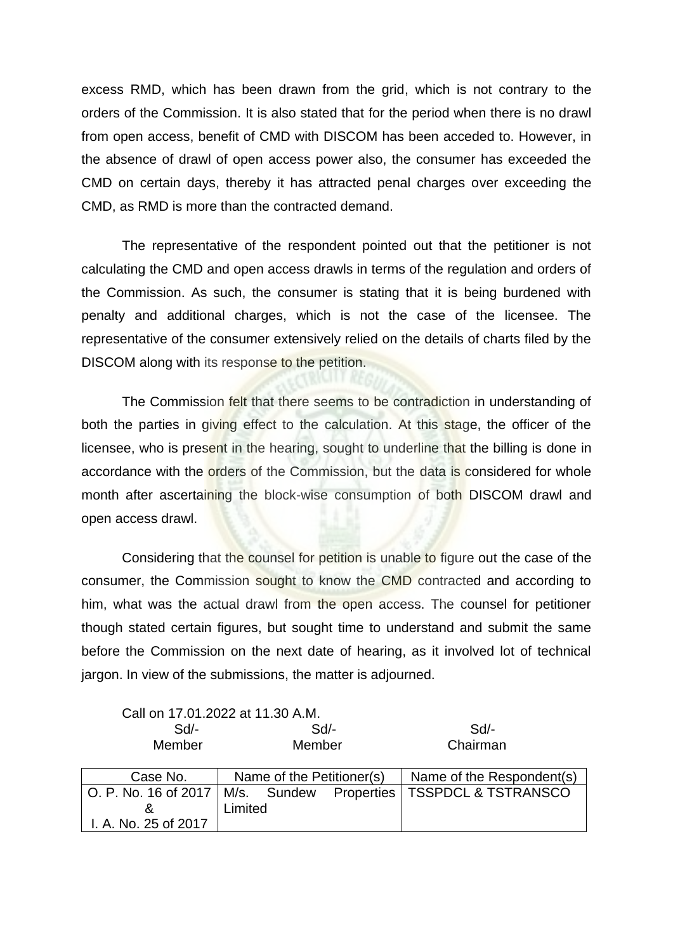excess RMD, which has been drawn from the grid, which is not contrary to the orders of the Commission. It is also stated that for the period when there is no drawl from open access, benefit of CMD with DISCOM has been acceded to. However, in the absence of drawl of open access power also, the consumer has exceeded the CMD on certain days, thereby it has attracted penal charges over exceeding the CMD, as RMD is more than the contracted demand.

The representative of the respondent pointed out that the petitioner is not calculating the CMD and open access drawls in terms of the regulation and orders of the Commission. As such, the consumer is stating that it is being burdened with penalty and additional charges, which is not the case of the licensee. The representative of the consumer extensively relied on the details of charts filed by the DISCOM along with its response to the petition.

The Commission felt that there seems to be contradiction in understanding of both the parties in giving effect to the calculation. At this stage, the officer of the licensee, who is present in the hearing, sought to underline that the billing is done in accordance with the orders of the Commission, but the data is considered for whole month after ascertaining the block-wise consumption of both DISCOM drawl and open access drawl.

Considering that the counsel for petition is unable to figure out the case of the consumer, the Commission sought to know the CMD contracted and according to him, what was the actual drawl from the open access. The counsel for petitioner though stated certain figures, but sought time to understand and submit the same before the Commission on the next date of hearing, as it involved lot of technical jargon. In view of the submissions, the matter is adjourned.

Call on 17.01.2022 at 11.30 A.M.

Limited

& I. A. No. 25 of 2017

| Sd       | $Sd$ -                    | Sd/-                                                                |
|----------|---------------------------|---------------------------------------------------------------------|
| Member   | Member                    | Chairman                                                            |
| Case No. | Name of the Petitioner(s) | Name of the Respondent(s)                                           |
|          |                           | O. P. No. 16 of 2017   M/s. Sundew Properties   TSSPDCL & TSTRANSCO |